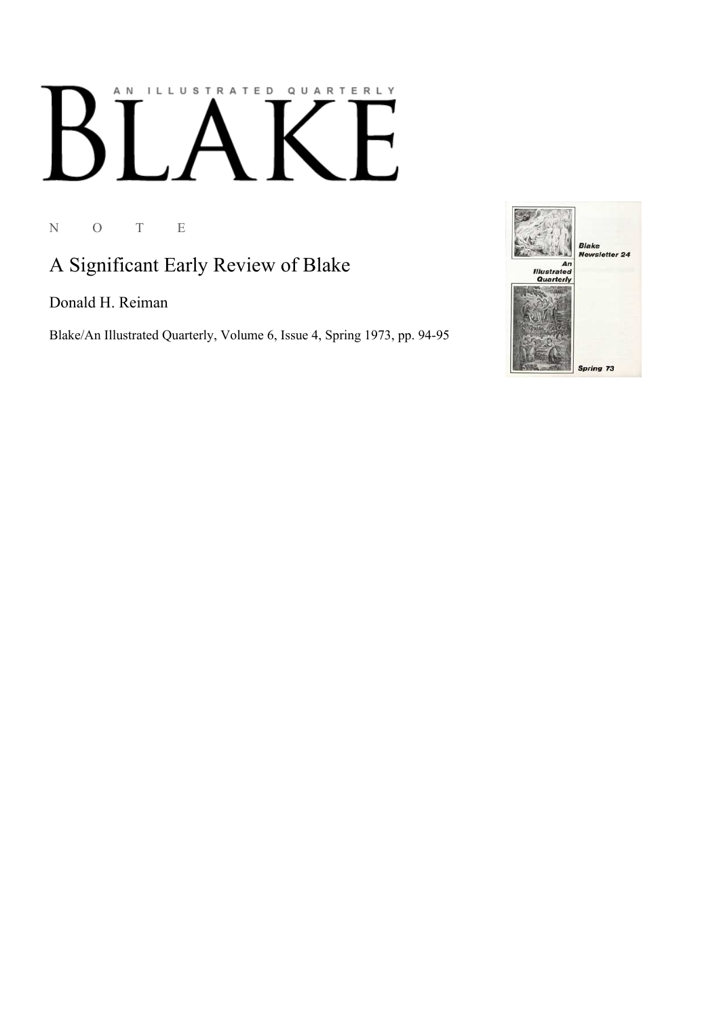## AN ILLUSTRATED QUARTERLY  $\begin{bmatrix} \end{bmatrix}$  $\boldsymbol{\mathsf{B}}$ 1

N O T E

### A Significant Early Review of Blake

Donald H. Reiman

Blake/An Illustrated Quarterly, Volume 6, Issue 4, Spring 1973, pp. 94-95

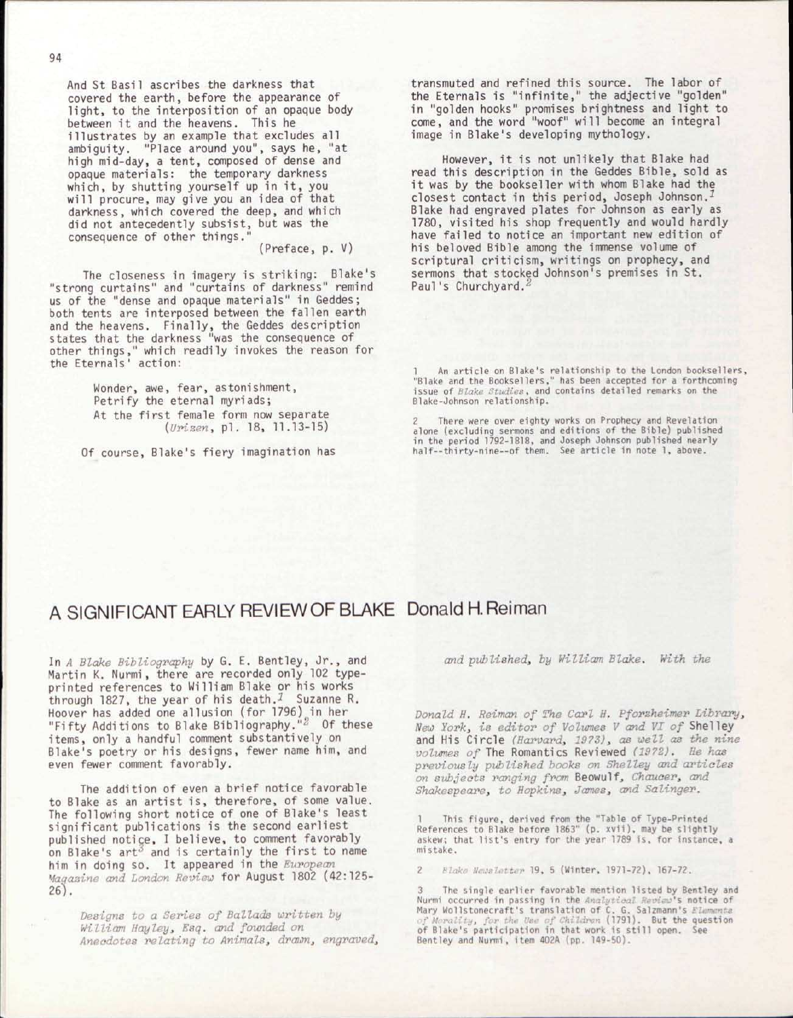And St Basil ascribes the darkness that covered the earth, before the appearance of light, to the interposition of an opaque body between it and the heavens. This he illustrates by an example that excludes all ambiguity. "Place around you", says he, "at high mid-day, a tent, composed of dense and opaque materials: the temporary darkness which, by shutting yourself up in it, you will procure, may give you an idea of that darkness, which covered the deep, and which did not antecedently subsist, but was the consequence of other things."

(Preface, p. V)

The closeness in imagery is striking: Blake's "strong curtains" and "curtains of darkness" remind us of the "dense and opaque materials" in Geddes; both tents are interposed between the fallen earth and the heavens. Finally, the Geddes description states that the darkness "was the consequence of other things," which readily invokes the reason for the Eternals' action:

> Wonder, awe, fear, astonishment, Petrify the eternal myriads; At the first female form now separate *(Urizen, pl. 18, 11.13-15)*

Of course, Blake's fiery imagination has

transmuted and refined this source. The labor of the Eternals is "infinite, " the adjective "golden" in "golden hooks" promises brightness and light to come, and the word "woof" will become an integral image in Blake's developing mythology.

However, it is not unlikely that Blake had read this description in the Geddes Bible, sold as it was by the bookseller with whom Blake had the closest contact in this period, Joseph Johnson. Blake had engraved plates for Johnson as early as 1780, visited his shop frequently and would hardly have failed to notice an important new edition of his beloved Bible among the immense volume of scriptural criticism, writings on prophecy, and sermons that stocked Johnson's premises in St. Paul's Churchyard.<sup>2</sup>

1 An article on Blake's relationship to the London booksellers,<br>"Blake and the Booksellers," has been accepted for a forthcoming<br>issue of *Blake Studies*, and contains detailed remarks on the Blake-Johnson relationship .

There were over eighty works on Prophecy and Revelation alone (excluding sermons and editions of the Bible) published in the period 1792-1818, and Joseph Johnson published nearly<br>half--thirty-nine--of them. See article in note 1, above.

#### A SIGNIFICANT EARLY REVIEW OF BLAKE Donald H.Reiman

In *A Blake Bibliography* by G. E. Bentley, Jr., and Martin K. Nurmi, there are recorded only 102 typeprinted references to William Blake or his works through 1827, the year of his death.<sup>1</sup> Suzanne R. Hoover has added one allusion (for 1796) in her "Fifty Additions to Blake Bibliography." $^{\omega}$  Of these items, only a handful comment substantively on Blake's poetry or his designs, fewer name him, and even fewer comment favorably.

The addition of even a brief notice favorable to Blake as an artist is, therefore, of some value. The following short notice of one of Blake's least significant publications is the second earliest published notice, I believe, to comment favorably on Blake's art $^3$  and is certainly the first to name him in doing so. It appeared in the *European Magazine and London Review* for August 1802 (42:125- 26).

*Designs to a Series of Ballads written by William Hay ley, Esq. and founded on Anecdotes relating to Animals, drawn, engraved,*  *and published, by William Blake. With the* 

*Donald H. Reiman of The Carl H. Pforzheimer Library, New York, is editor of Volumes V and VI of* Shelley and His Circle (Harvard, 1973), as well as the nine *volumes of* The Romantics Reviewed *(1972). He has previously published books on Shelley and articles on subjects ranging from* Beowulf, *Chaucer, and Shakespeare, to Hopkins, James, and Salinger.* 

1 This figure , derived from the "Table of Type-Printed References to Blake before 1863" (p. xvii), may be slightly askew; that list's entry for the year 1789 is, for instance, a mistake.

2 Blake Newsletter 19, 5 (Winter, 1971-72), 167-72.

3 The single earlier favorable mention listed by Bentley and<br>Nurmi occurred in passing in the *Analytical Review'*s notice of<br>Mary Wollstonecraft's translation of C. G. Salzmann's *Elementa* of Morality, for the Use of Children (1791). But the question<br>of Blake's participation in that work is still open. See Bentley and Nurmi, item 402A (pp. 149-50).